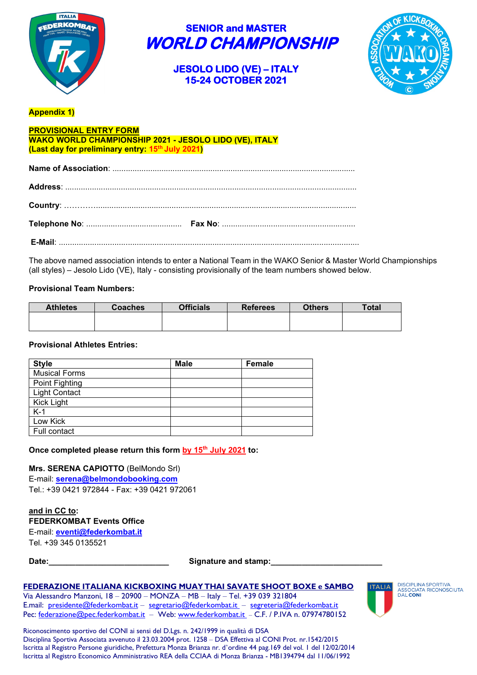

> **JESOLO LIDO (VE) – ITALY 15-24 OCTOBER 2021**



### **Appendix 1)**

### **PROVISIONAL ENTRY FORM WAKO WORLD CHAMPIONSHIP 2021 - JESOLO LIDO (VE), ITALY (Last day for preliminary entry: 15th July 2021)**

The above named association intends to enter a National Team in the WAKO Senior & Master World Championships (all styles) – Jesolo Lido (VE), Italy - consisting provisionally of the team numbers showed below.

### **Provisional Team Numbers:**

| <b>Athletes</b> | <b>Coaches</b> | <b>Officials</b> | <b>Referees</b> | <b>Others</b> | <b>Total</b> |
|-----------------|----------------|------------------|-----------------|---------------|--------------|
|                 |                |                  |                 |               |              |
|                 |                |                  |                 |               |              |

#### **Provisional Athletes Entries:**

| <b>Style</b>         | <b>Male</b> | <b>Female</b> |
|----------------------|-------------|---------------|
| <b>Musical Forms</b> |             |               |
| Point Fighting       |             |               |
| <b>Light Contact</b> |             |               |
| Kick Light           |             |               |
| $K-1$                |             |               |
| Low Kick             |             |               |
| Full contact         |             |               |

**Once completed please return this form by 15th July 2021 to:** 

### **Mrs. SERENA CAPIOTTO** (BelMondo Srl)

E-mail: **[serena@belmondobooking.com](mailto:serena@belmondobooking.com)** Tel.: +39 0421 972844 - Fax: +39 0421 972061

### **and in CC to:**

| <b>FEDERKOMBAT Events Office</b> |  |
|----------------------------------|--|
|----------------------------------|--|

E-mail: **[eventi@federkombat.it](mailto:eventi@federkombat.it)** Tel. +39 345 0135521

Date: **Date: Date: Contains and stamp: Contains and stamp: Contains and stamp: Contains and Stamp: Contains and Stamp: Contains and Stamp: Contains and Stamp: Contains and Stamp: Contains and Stamp: C** 

#### **FEDERAZIONE ITALIANA KICKBOXING MUAY THAI SAVATE SHOOT BOXE e SAMBO**

Via Alessandro Manzoni, 18 – 20900 – MONZA – MB – Italy – Tel. +39 039 321804 E.mail: [presidente@federkombat.it](mailto:presidente@federkombat.it) – [segretario@federkombat.it](mailto:segretario@federkombat.it) – [segreteria@federkombat.it](mailto:segreteria@federkombat.it) Pec: [federazione@pec.federkombat.it](mailto:federazione@pec.federkombat.it) – Web: [www.federkombat.it](http://www.federkombat.it/) - C.F. / P.IVA n. 07974780152



DISCIPLINA SPORTIVA<br>ASSOCIATA RICONOSCIUTA<br>DAL CONI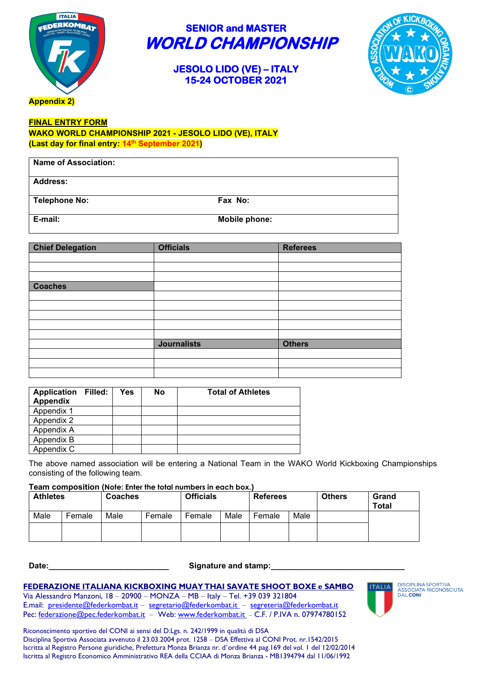

### **JESOLO LIDO (VE) – ITALY 15-24 OCTOBER 2021**



**FINAL ENTRY FORM**

**WAKO WORLD CHAMPIONSHIP 2021 - JESOLO LIDO (VE), ITALY (Last day for final entry: 14th September 2021)** 

| <b>Name of Association:</b> |               |
|-----------------------------|---------------|
| <b>Address:</b>             |               |
| <b>Telephone No:</b>        | Fax No:       |
| E-mail:                     | Mobile phone: |

| <b>Chief Delegation</b> | <b>Officials</b>   | <b>Referees</b> |
|-------------------------|--------------------|-----------------|
|                         |                    |                 |
|                         |                    |                 |
|                         |                    |                 |
| <b>Coaches</b>          |                    |                 |
|                         |                    |                 |
|                         |                    |                 |
|                         |                    |                 |
|                         |                    |                 |
|                         |                    |                 |
|                         | <b>Journalists</b> | <b>Others</b>   |
|                         |                    |                 |
|                         |                    |                 |
|                         |                    |                 |

| <b>Application Filled:</b><br>Appendix | Yes | No | <b>Total of Athletes</b> |
|----------------------------------------|-----|----|--------------------------|
| Appendix 1                             |     |    |                          |
| Appendix 2                             |     |    |                          |
| Appendix A                             |     |    |                          |
| Appendix B                             |     |    |                          |
| Appendix C                             |     |    |                          |

The above named association will be entering a National Team in the WAKO World Kickboxing Championships consisting of the following team.

#### **Team composition (Note: Enter the total numbers in each box.)**

| <b>Athletes</b> |        | <b>Coaches</b> |        | <b>Officials</b> |      | <b>Referees</b> |      | <b>Others</b> | Grand<br><b>Total</b> |
|-----------------|--------|----------------|--------|------------------|------|-----------------|------|---------------|-----------------------|
| Male            | Female | Male           | Female | Female           | Male | Female          | Male |               |                       |
|                 |        |                |        |                  |      |                 |      |               |                       |

Date: <u>Date:</u> **Date: Date: Date: Date: Signature and stamp: Signature and stamp:** 

#### **FEDERAZIONE ITALIANA KICKBOXING MUAY THAI SAVATE SHOOT BOXE e SAMBO**

Via Alessandro Manzoni, 18 – 20900 – MONZA – MB – Italy – Tel. +39 039 321804 E.mail: [presidente@federkombat.it](mailto:presidente@federkombat.it) – [segretario@federkombat.it](mailto:segretario@federkombat.it) – [segreteria@federkombat.it](mailto:segreteria@federkombat.it) Pec: [federazione@pec.federkombat.it](mailto:federazione@pec.federkombat.it) – Web: [www.federkombat.it](http://www.federkombat.it/) - C.F. / P.IVA n. 07974780152

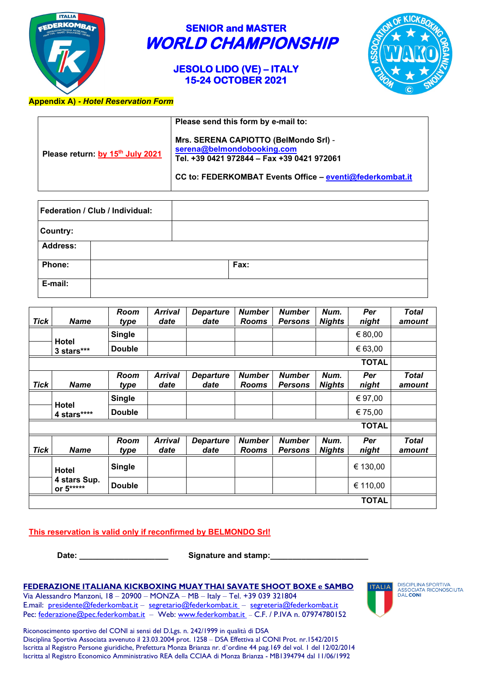

### **JESOLO LIDO (VE) – ITALY 15-24 OCTOBER 2021**



### **Appendix A) -** *Hotel Reservation Form*

|                                  | Please send this form by e-mail to:                                                                                                                                           |
|----------------------------------|-------------------------------------------------------------------------------------------------------------------------------------------------------------------------------|
| Please return: by 15th July 2021 | Mrs. SERENA CAPIOTTO (BelMondo Srl) -<br>serena@belmondobooking.com<br>Tel. +39 0421 972844 - Fax +39 0421 972061<br>CC to: FEDERKOMBAT Events Office - eventi@federkombat.it |

| Federation / Club / Individual: |  |      |  |
|---------------------------------|--|------|--|
| <b>Country:</b>                 |  |      |  |
| <b>Address:</b>                 |  |      |  |
| Phone:                          |  | Fax: |  |
| E-mail:                         |  |      |  |

| Tick | <b>Name</b>               | Room<br>type  | <b>Arrival</b><br>date | <b>Departure</b><br>date | <b>Number</b><br><b>Rooms</b> | <b>Number</b><br><b>Persons</b> | Num.<br><b>Nights</b> | Per<br>night | <b>Total</b><br>amount |
|------|---------------------------|---------------|------------------------|--------------------------|-------------------------------|---------------------------------|-----------------------|--------------|------------------------|
|      |                           | <b>Single</b> |                        |                          |                               |                                 |                       | € 80,00      |                        |
|      | Hotel<br>3 stars***       | <b>Double</b> |                        |                          |                               |                                 |                       | € 63,00      |                        |
|      |                           |               |                        |                          |                               |                                 |                       | TOTAL        |                        |
| Tick | <b>Name</b>               | Room<br>type  | <b>Arrival</b><br>date | <b>Departure</b><br>date | <b>Number</b><br><b>Rooms</b> | <b>Number</b><br><b>Persons</b> | Num.<br><b>Nights</b> | Per<br>night | <b>Total</b><br>amount |
|      |                           | <b>Single</b> |                        |                          |                               |                                 |                       | € 97,00      |                        |
|      | Hotel<br>4 stars****      | <b>Double</b> |                        |                          |                               |                                 |                       | € 75,00      |                        |
|      |                           |               |                        |                          |                               |                                 |                       | <b>TOTAL</b> |                        |
| Tick | <b>Name</b>               | Room<br>type  | <b>Arrival</b><br>date | <b>Departure</b><br>date | <b>Number</b><br><b>Rooms</b> | <b>Number</b><br><b>Persons</b> | Num.<br><b>Nights</b> | Per<br>night | <b>Total</b><br>amount |
|      | Hotel                     | <b>Single</b> |                        |                          |                               |                                 |                       | € 130,00     |                        |
|      | 4 stars Sup.<br>or 5***** | <b>Double</b> |                        |                          |                               |                                 |                       | € 110,00     |                        |
|      |                           |               |                        |                          |                               |                                 |                       | <b>TOTAL</b> |                        |

### **This reservation is valid only if reconfirmed by BELMONDO Srl!**

**Date: \_\_\_\_\_\_\_\_\_\_\_\_\_\_\_\_\_\_\_\_ Signature and stamp:\_\_\_\_\_\_\_\_\_\_\_\_\_\_\_\_\_\_\_\_\_\_**

### **FEDERAZIONE ITALIANA KICKBOXING MUAY THAI SAVATE SHOOT BOXE e SAMBO**

Via Alessandro Manzoni, 18 – 20900 – MONZA – MB – Italy – Tel. +39 039 321804 E.mail: [presidente@federkombat.it](mailto:presidente@federkombat.it) – [segretario@federkombat.it](mailto:segretario@federkombat.it) – [segreteria@federkombat.it](mailto:segreteria@federkombat.it) Pec: [federazione@pec.federkombat.it](mailto:federazione@pec.federkombat.it) – Web: [www.federkombat.it](http://www.federkombat.it/) – C.F. / P.IVA n. 07974780152 DISCIPLINA SPORTIVA<br>ASSOCIATA RICONOSCIUTA<br>DAL**CONI**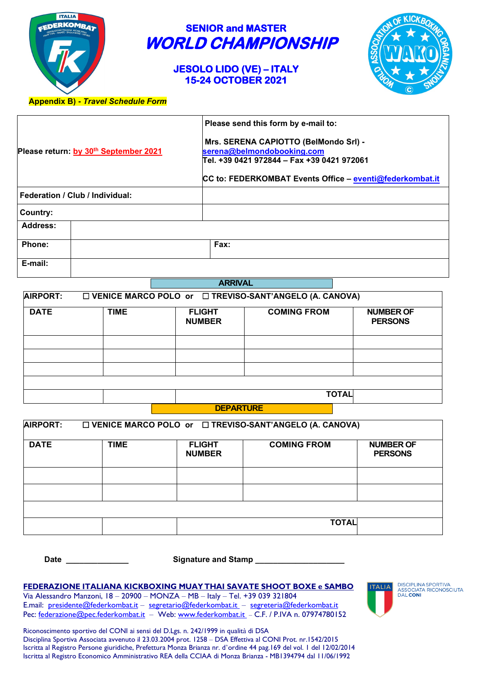

### **JESOLO LIDO (VE) – ITALY 15-24 OCTOBER 2021**



### **Appendix B) -** *Travel Schedule Form*

|                                                   | Please send this form by e-mail to:                                                                                                                                           |  |  |  |  |
|---------------------------------------------------|-------------------------------------------------------------------------------------------------------------------------------------------------------------------------------|--|--|--|--|
| Please return: by 30 <sup>th</sup> September 2021 | Mrs. SERENA CAPIOTTO (BelMondo Srl) -<br>serena@belmondobooking.com<br>Tel. +39 0421 972844 – Fax +39 0421 972061<br>CC to: FEDERKOMBAT Events Office - eventi@federkombat.it |  |  |  |  |
| Federation / Club / Individual:                   |                                                                                                                                                                               |  |  |  |  |
| Country:                                          |                                                                                                                                                                               |  |  |  |  |
| <b>Address:</b>                                   |                                                                                                                                                                               |  |  |  |  |
| Phone:                                            | Fax:                                                                                                                                                                          |  |  |  |  |
| E-mail:                                           |                                                                                                                                                                               |  |  |  |  |

|                                                                                       |              | <i>E</i> BUDE                  |                    |                                    |  |  |  |  |
|---------------------------------------------------------------------------------------|--------------|--------------------------------|--------------------|------------------------------------|--|--|--|--|
| <b>AIRPORT:</b><br>$\Box$ VENICE MARCO POLO or $\Box$ TREVISO-SANT'ANGELO (A. CANOVA) |              |                                |                    |                                    |  |  |  |  |
| <b>DATE</b>                                                                           | <b>TIME</b>  | <b>FLIGHT</b><br><b>NUMBER</b> | <b>COMING FROM</b> | <b>NUMBER OF</b><br><b>PERSONS</b> |  |  |  |  |
|                                                                                       |              |                                |                    |                                    |  |  |  |  |
|                                                                                       |              |                                |                    |                                    |  |  |  |  |
|                                                                                       |              |                                |                    |                                    |  |  |  |  |
|                                                                                       |              |                                |                    |                                    |  |  |  |  |
|                                                                                       | <b>TOTAL</b> |                                |                    |                                    |  |  |  |  |
| <b>DEDADTLIDE</b>                                                                     |              |                                |                    |                                    |  |  |  |  |

**ARRIVAL**

| <b>DEPARTURE</b> |
|------------------|
|------------------|

| <b>AIRPORT:</b><br>$\Box$ VENICE MARCO POLO or $\Box$ TREVISO-SANT'ANGELO (A. CANOVA) |             |                                |                    |                                    |  |  |  |
|---------------------------------------------------------------------------------------|-------------|--------------------------------|--------------------|------------------------------------|--|--|--|
| <b>DATE</b>                                                                           | <b>TIME</b> | <b>FLIGHT</b><br><b>NUMBER</b> | <b>COMING FROM</b> | <b>NUMBER OF</b><br><b>PERSONS</b> |  |  |  |
|                                                                                       |             |                                |                    |                                    |  |  |  |
|                                                                                       |             |                                |                    |                                    |  |  |  |
|                                                                                       |             |                                |                    |                                    |  |  |  |
|                                                                                       |             |                                | <b>TOTAL</b>       |                                    |  |  |  |

 **Date \_\_\_\_\_\_\_\_\_\_\_\_\_\_ Signature and Stamp \_\_\_\_\_\_\_\_\_\_\_\_\_\_\_\_\_\_\_\_** 

#### **FEDERAZIONE ITALIANA KICKBOXING MUAY THAI SAVATE SHOOT BOXE e SAMBO**

Via Alessandro Manzoni, 18 – 20900 – MONZA – MB – Italy – Tel. +39 039 321804 E.mail: [presidente@federkombat.it](mailto:presidente@federkombat.it) – [segretario@federkombat.it](mailto:segretario@federkombat.it) – [segreteria@federkombat.it](mailto:segreteria@federkombat.it) Pec: [federazione@pec.federkombat.it](mailto:federazione@pec.federkombat.it) – Web: [www.federkombat.it](http://www.federkombat.it/) – C.F. / P.IVA n. 07974780152 DISCIPLINA SPORTIVA<br>ASSOCIATA RICONOSCIUTA<br>DAL**CONI**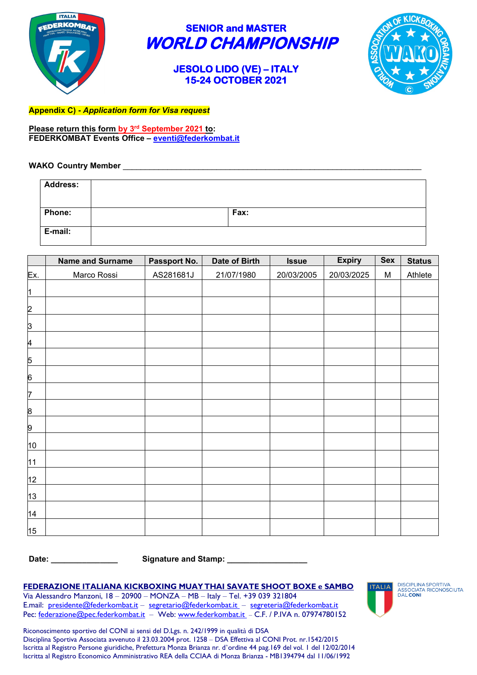

### **JESOLO LIDO (VE) – ITALY 15-24 OCTOBER 2021**



**Appendix C) -** *Application form for Visa request*

**Please return this form by 3rd September 2021 to: FEDERKOMBAT Events Office – [eventi@federkombat.it](mailto:eventi@federkombat.it)**

### **WAKO Country Member** \_\_\_\_\_\_\_\_\_\_\_\_\_\_\_\_\_\_\_\_\_\_\_\_\_\_\_\_\_\_\_\_\_\_\_\_\_\_\_\_\_\_\_\_\_\_\_\_\_\_\_\_\_\_\_\_\_\_\_\_\_\_\_\_\_\_\_

| <b>Address:</b> |      |
|-----------------|------|
| <b>Phone:</b>   | Fax: |
| E-mail:         |      |

|                  | <b>Name and Surname</b> | Passport No. | Date of Birth | <b>Issue</b> | <b>Expiry</b> | Sex | <b>Status</b> |
|------------------|-------------------------|--------------|---------------|--------------|---------------|-----|---------------|
| Ex.              | Marco Rossi             | AS281681J    | 21/07/1980    | 20/03/2005   | 20/03/2025    | M   | Athlete       |
| $\vert$ 1        |                         |              |               |              |               |     |               |
| $\overline{2}$   |                         |              |               |              |               |     |               |
| <u>3</u>         |                         |              |               |              |               |     |               |
| 4                |                         |              |               |              |               |     |               |
| 5                |                         |              |               |              |               |     |               |
| $6 \overline{6}$ |                         |              |               |              |               |     |               |
| 7                |                         |              |               |              |               |     |               |
| <u>8</u>         |                         |              |               |              |               |     |               |
| 9                |                         |              |               |              |               |     |               |
| 10               |                         |              |               |              |               |     |               |
| 11               |                         |              |               |              |               |     |               |
| 12               |                         |              |               |              |               |     |               |
| 13               |                         |              |               |              |               |     |               |
| 14               |                         |              |               |              |               |     |               |
| 15               |                         |              |               |              |               |     |               |

**Date: \_\_\_\_\_\_\_\_\_\_\_\_\_\_\_ Signature and Stamp: \_\_\_\_\_\_\_\_\_\_\_\_\_\_\_\_\_\_**

### **FEDERAZIONE ITALIANA KICKBOXING MUAY THAI SAVATE SHOOT BOXE e SAMBO**

Via Alessandro Manzoni, 18 – 20900 – MONZA – MB – Italy – Tel. +39 039 321804 E.mail: [presidente@federkombat.it](mailto:presidente@federkombat.it) – [segretario@federkombat.it](mailto:segretario@federkombat.it) – [segreteria@federkombat.it](mailto:segreteria@federkombat.it) Pec: [federazione@pec.federkombat.it](mailto:federazione@pec.federkombat.it) – Web: [www.federkombat.it](http://www.federkombat.it/) - C.F. / P.IVA n. 07974780152 DISCIPLINA SPORTIVA<br>ASSOCIATA RICONOSCIUTA<br>DAL**CONI**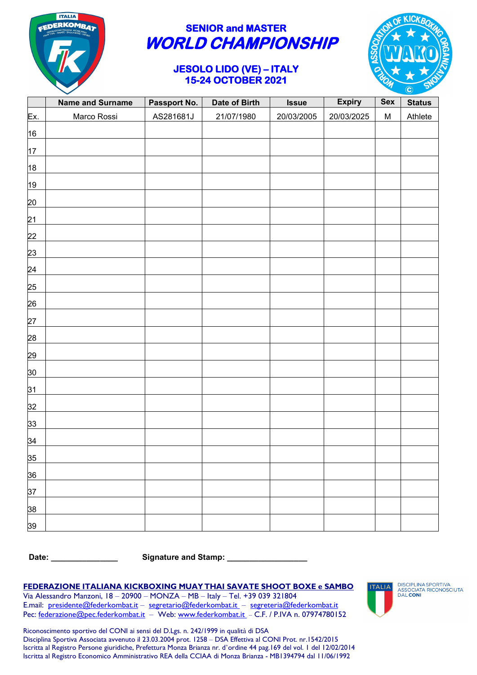

### **JESOLO LIDO (VE) – ITALY 15-24 OCTOBER 2021**



|                | <b>Name and Surname</b> | Passport No. | Date of Birth | <b>Issue</b> | <b>Expiry</b> | Sex       | <b>Status</b> |
|----------------|-------------------------|--------------|---------------|--------------|---------------|-----------|---------------|
| <b>Ex.</b>     | Marco Rossi             | AS281681J    | 21/07/1980    | 20/03/2005   | 20/03/2025    | ${\sf M}$ | Athlete       |
| 16             |                         |              |               |              |               |           |               |
| 17             |                         |              |               |              |               |           |               |
| 18             |                         |              |               |              |               |           |               |
| 19             |                         |              |               |              |               |           |               |
| 20             |                         |              |               |              |               |           |               |
| 21             |                         |              |               |              |               |           |               |
| 22             |                         |              |               |              |               |           |               |
| 23             |                         |              |               |              |               |           |               |
| 24             |                         |              |               |              |               |           |               |
| 25             |                         |              |               |              |               |           |               |
| 26             |                         |              |               |              |               |           |               |
| 27             |                         |              |               |              |               |           |               |
| 28             |                         |              |               |              |               |           |               |
| 29             |                         |              |               |              |               |           |               |
| 30             |                         |              |               |              |               |           |               |
| 31             |                         |              |               |              |               |           |               |
| 32             |                         |              |               |              |               |           |               |
| 33             |                         |              |               |              |               |           |               |
| $\frac{34}{5}$ |                         |              |               |              |               |           |               |
| 35             |                         |              |               |              |               |           |               |
| 36             |                         |              |               |              |               |           |               |
| 37             |                         |              |               |              |               |           |               |
| 38             |                         |              |               |              |               |           |               |
| 39             |                         |              |               |              |               |           |               |

**Date: \_\_\_\_\_\_\_\_\_\_\_\_\_\_\_ Signature and Stamp: \_\_\_\_\_\_\_\_\_\_\_\_\_\_\_\_\_\_**

#### **FEDERAZIONE ITALIANA KICKBOXING MUAY THAI SAVATE SHOOT BOXE e SAMBO**

Via Alessandro Manzoni, 18 – 20900 – MONZA – MB – Italy – Tel. +39 039 321804 E.mail: [presidente@federkombat.it](mailto:presidente@federkombat.it) – [segretario@federkombat.it](mailto:segretario@federkombat.it) – [segreteria@federkombat.it](mailto:segreteria@federkombat.it) Pec: [federazione@pec.federkombat.it](mailto:federazione@pec.federkombat.it) – Web: [www.federkombat.it](http://www.federkombat.it/) – C.F. / P.IVA n. 07974780152 DISCIPLINA SPORTIVA<br>ASSOCIATA RICONOSCIUTA<br>DAL CONI